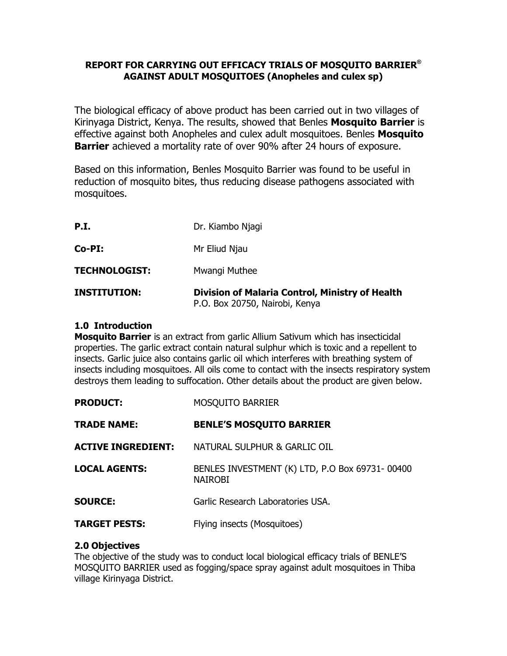## **REPORT FOR CARRYING OUT EFFICACY TRIALS OF MOSQUITO BARRIER® AGAINST ADULT MOSQUITOES (Anopheles and culex sp)**

The biological efficacy of above product has been carried out in two villages of Kirinyaga District, Kenya. The results, showed that Benles **Mosquito Barrier** is effective against both Anopheles and culex adult mosquitoes. Benles **Mosquito Barrier** achieved a mortality rate of over 90% after 24 hours of exposure.

Based on this information, Benles Mosquito Barrier was found to be useful in reduction of mosquito bites, thus reducing disease pathogens associated with mosquitoes.

| <b>INSTITUTION:</b>  | <b>Division of Malaria Control, Ministry of Health</b><br>P.O. Box 20750, Nairobi, Kenya |
|----------------------|------------------------------------------------------------------------------------------|
| <b>TECHNOLOGIST:</b> | Mwangi Muthee                                                                            |
| $Co-PI:$             | Mr Eliud Njau                                                                            |
| P.I.                 | Dr. Kiambo Njagi                                                                         |

## **1.0 Introduction**

**Mosquito Barrier** is an extract from garlic Allium Sativum which has insecticidal properties. The garlic extract contain natural sulphur which is toxic and a repellent to insects. Garlic juice also contains garlic oil which interferes with breathing system of insects including mosquitoes. All oils come to contact with the insects respiratory system destroys them leading to suffocation. Other details about the product are given below.

| <b>PRODUCT:</b>           | <b>MOSQUITO BARRIER</b>                                          |
|---------------------------|------------------------------------------------------------------|
| <b>TRADE NAME:</b>        | <b>BENLE'S MOSQUITO BARRIER</b>                                  |
| <b>ACTIVE INGREDIENT:</b> | NATURAL SULPHUR & GARLIC OIL                                     |
| <b>LOCAL AGENTS:</b>      | BENLES INVESTMENT (K) LTD, P.O Box 69731-00400<br><b>NAIROBI</b> |
| <b>SOURCE:</b>            | Garlic Research Laboratories USA.                                |
| <b>TARGET PESTS:</b>      | Flying insects (Mosquitoes)                                      |

#### **2.0 Objectives**

The objective of the study was to conduct local biological efficacy trials of BENLE'S MOSQUITO BARRIER used as fogging/space spray against adult mosquitoes in Thiba village Kirinyaga District.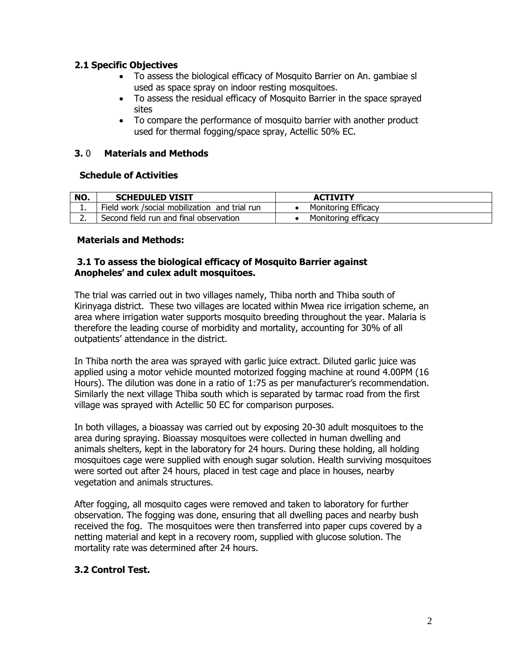## **2.1 Specific Objectives**

- · To assess the biological efficacy of Mosquito Barrier on An. gambiae sl used as space spray on indoor resting mosquitoes.
- · To assess the residual efficacy of Mosquito Barrier in the space sprayed sites
- · To compare the performance of mosquito barrier with another product used for thermal fogging/space spray, Actellic 50% EC.

# **3.** 0 **Materials and Methods**

## **Schedule of Activities**

| NO. | <b>SCHEDULED VISIT</b>                         | <b>ACTIVITY</b>            |
|-----|------------------------------------------------|----------------------------|
| . . | Field work / social mobilization and trial run | <b>Monitoring Efficacy</b> |
|     | Second field run and final observation         | Monitoring efficacy        |

#### **Materials and Methods:**

## **3.1 To assess the biological efficacy of Mosquito Barrier against Anopheles' and culex adult mosquitoes.**

The trial was carried out in two villages namely, Thiba north and Thiba south of Kirinyaga district. These two villages are located within Mwea rice irrigation scheme, an area where irrigation water supports mosquito breeding throughout the year. Malaria is therefore the leading course of morbidity and mortality, accounting for 30% of all outpatients' attendance in the district.

In Thiba north the area was sprayed with garlic juice extract. Diluted garlic juice was applied using a motor vehicle mounted motorized fogging machine at round 4.00PM (16 Hours). The dilution was done in a ratio of 1:75 as per manufacturer's recommendation. Similarly the next village Thiba south which is separated by tarmac road from the first village was sprayed with Actellic 50 EC for comparison purposes.

In both villages, a bioassay was carried out by exposing 20-30 adult mosquitoes to the area during spraying. Bioassay mosquitoes were collected in human dwelling and animals shelters, kept in the laboratory for 24 hours. During these holding, all holding mosquitoes cage were supplied with enough sugar solution. Health surviving mosquitoes were sorted out after 24 hours, placed in test cage and place in houses, nearby vegetation and animals structures.

After fogging, all mosquito cages were removed and taken to laboratory for further observation. The fogging was done, ensuring that all dwelling paces and nearby bush received the fog. The mosquitoes were then transferred into paper cups covered by a netting material and kept in a recovery room, supplied with glucose solution. The mortality rate was determined after 24 hours.

# **3.2 Control Test.**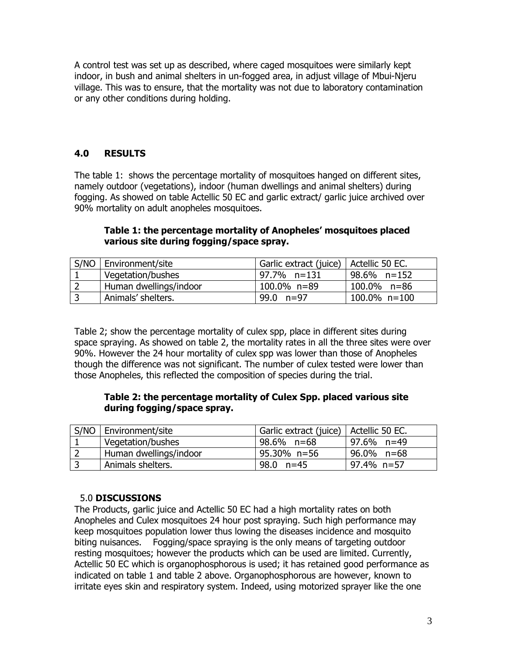A control test was set up as described, where caged mosquitoes were similarly kept indoor, in bush and animal shelters in un-fogged area, in adjust village of Mbui-Njeru village. This was to ensure, that the mortality was not due to laboratory contamination or any other conditions during holding.

# **4.0 RESULTS**

The table 1: shows the percentage mortality of mosquitoes hanged on different sites, namely outdoor (vegetations), indoor (human dwellings and animal shelters) during fogging. As showed on table Actellic 50 EC and garlic extract/ garlic juice archived over 90% mortality on adult anopheles mosquitoes.

# **Table 1: the percentage mortality of Anopheles' mosquitoes placed various site during fogging/space spray.**

| S/NO   Environment/site | Garlic extract (juice)   Actellic 50 EC. |                 |
|-------------------------|------------------------------------------|-----------------|
| Vegetation/bushes       | 97.7% n=131                              | 98.6% n=152     |
| Human dwellings/indoor  | 100.0% n=89                              | $100.0\%$ n=86  |
| Animals' shelters.      | 99.0 $n=97$                              | $100.0\%$ n=100 |

Table 2; show the percentage mortality of culex spp, place in different sites during space spraying. As showed on table 2, the mortality rates in all the three sites were over 90%. However the 24 hour mortality of culex spp was lower than those of Anopheles though the difference was not significant. The number of culex tested were lower than those Anopheles, this reflected the composition of species during the trial.

## **Table 2: the percentage mortality of Culex Spp. placed various site during fogging/space spray.**

|     | S/NO   Environment/site | Garlic extract (juice)   Actellic 50 EC. |            |
|-----|-------------------------|------------------------------------------|------------|
|     | Vegetation/bushes       | 98.6% n=68                               | 97.6% n=49 |
|     | Human dwellings/indoor  | 95.30% n=56                              | 96.0% n=68 |
| l 3 | Animals shelters.       | 98.0 n=45                                | 97.4% n=57 |

# 5.0 **DISCUSSIONS**

The Products, garlic juice and Actellic 50 EC had a high mortality rates on both Anopheles and Culex mosquitoes 24 hour post spraying. Such high performance may keep mosquitoes population lower thus lowing the diseases incidence and mosquito biting nuisances. Fogging/space spraying is the only means of targeting outdoor resting mosquitoes; however the products which can be used are limited. Currently, Actellic 50 EC which is organophosphorous is used; it has retained good performance as indicated on table 1 and table 2 above. Organophosphorous are however, known to irritate eyes skin and respiratory system. Indeed, using motorized sprayer like the one